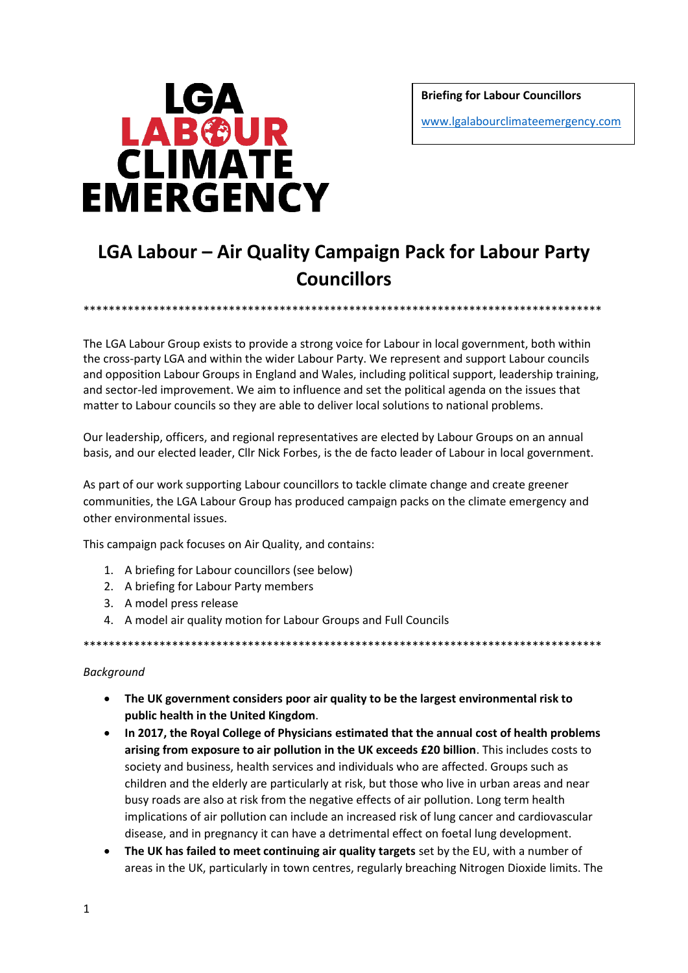**Briefing for Labour Councillors**

[www.lgalabourclimateemergency.com](http://www.lgalabourclimateemergency.com/)



# **LGA Labour – Air Quality Campaign Pack for Labour Party Councillors**

The LGA Labour Group exists to provide a strong voice for Labour in local government, both within the cross-party LGA and within the wider Labour Party. We represent and support Labour councils and opposition Labour Groups in England and Wales, including political support, leadership training, and sector-led improvement. We aim to influence and set the political agenda on the issues that matter to Labour councils so they are able to deliver local solutions to national problems.

\*\*\*\*\*\*\*\*\*\*\*\*\*\*\*\*\*\*\*\*\*\*\*\*\*\*\*\*\*\*\*\*\*\*\*\*\*\*\*\*\*\*\*\*\*\*\*\*\*\*\*\*\*\*\*\*\*\*\*\*\*\*\*\*\*\*\*\*\*\*\*\*\*\*\*\*\*\*\*\*\*\*

Our leadership, officers, and regional representatives are elected by Labour Groups on an annual basis, and our elected leader, Cllr Nick Forbes, is the de facto leader of Labour in local government.

As part of our work supporting Labour councillors to tackle climate change and create greener communities, the LGA Labour Group has produced campaign packs on the climate emergency and other environmental issues.

This campaign pack focuses on Air Quality, and contains:

- 1. A briefing for Labour councillors (see below)
- 2. A briefing for Labour Party members
- 3. A model press release
- 4. A model air quality motion for Labour Groups and Full Councils

\*\*\*\*\*\*\*\*\*\*\*\*\*\*\*\*\*\*\*\*\*\*\*\*\*\*\*\*\*\*\*\*\*\*\*\*\*\*\*\*\*\*\*\*\*\*\*\*\*\*\*\*\*\*\*\*\*\*\*\*\*\*\*\*\*\*\*\*\*\*\*\*\*\*\*\*\*\*\*\*\*\*

### *Background*

- **The UK government considers poor air quality to be the largest environmental risk to public health in the United Kingdom**.
- **In 2017, the Royal College of Physicians estimated that the annual cost of health problems arising from exposure to air pollution in the UK exceeds £20 billion**. This includes costs to society and business, health services and individuals who are affected. Groups such as children and the elderly are particularly at risk, but those who live in urban areas and near busy roads are also at risk from the negative effects of air pollution. Long term health implications of air pollution can include an increased risk of lung cancer and cardiovascular disease, and in pregnancy it can have a detrimental effect on foetal lung development.
- **The UK has failed to meet continuing air quality targets** set by the EU, with a number of areas in the UK, particularly in town centres, regularly breaching Nitrogen Dioxide limits. The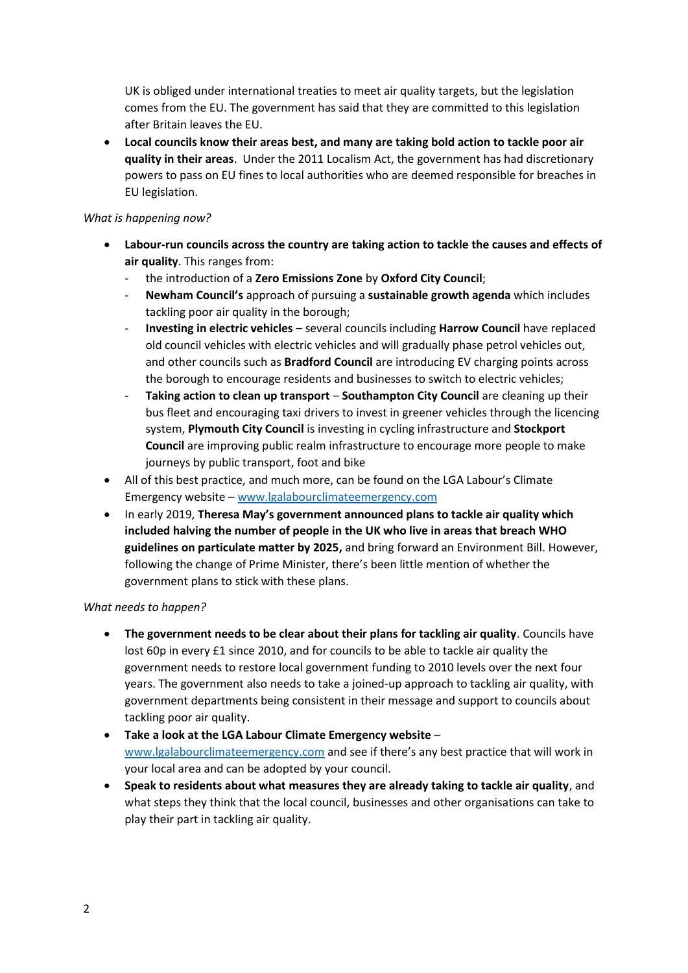UK is obliged under international treaties to meet air quality targets, but the legislation comes from the EU. The government has said that they are committed to this legislation after Britain leaves the EU.

 **Local councils know their areas best, and many are taking bold action to tackle poor air quality in their areas**. Under the 2011 Localism Act, the government has had discretionary powers to pass on EU fines to local authorities who are deemed responsible for breaches in EU legislation.

## *What is happening now?*

- **Labour-run councils across the country are taking action to tackle the causes and effects of air quality**. This ranges from:
	- the introduction of a **Zero Emissions Zone** by **Oxford City Council**;
	- **Newham Council's** approach of pursuing a **sustainable growth agenda** which includes tackling poor air quality in the borough;
	- **Investing in electric vehicles** several councils including **Harrow Council** have replaced old council vehicles with electric vehicles and will gradually phase petrol vehicles out, and other councils such as **Bradford Council** are introducing EV charging points across the borough to encourage residents and businesses to switch to electric vehicles;
	- **Taking action to clean up transport Southampton City Council** are cleaning up their bus fleet and encouraging taxi drivers to invest in greener vehicles through the licencing system, **Plymouth City Council** is investing in cycling infrastructure and **Stockport Council** are improving public realm infrastructure to encourage more people to make journeys by public transport, foot and bike
- All of this best practice, and much more, can be found on the LGA Labour's Climate Emergency website – [www.lgalabourclimateemergency.com](http://www.lgalabourclimateemergency.com/)
- In early 2019, **Theresa May's government announced plans to tackle air quality which included halving the number of people in the UK who live in areas that breach WHO guidelines on particulate matter by 2025,** and bring forward an Environment Bill. However, following the change of Prime Minister, there's been little mention of whether the government plans to stick with these plans.

### *What needs to happen?*

- **The government needs to be clear about their plans for tackling air quality**. Councils have lost 60p in every £1 since 2010, and for councils to be able to tackle air quality the government needs to restore local government funding to 2010 levels over the next four years. The government also needs to take a joined-up approach to tackling air quality, with government departments being consistent in their message and support to councils about tackling poor air quality.
- **Take a look at the LGA Labour Climate Emergency website** [www.lgalabourclimateemergency.com](http://www.lgalabourclimateemergency.com/) and see if there's any best practice that will work in your local area and can be adopted by your council.
- **Speak to residents about what measures they are already taking to tackle air quality**, and what steps they think that the local council, businesses and other organisations can take to play their part in tackling air quality.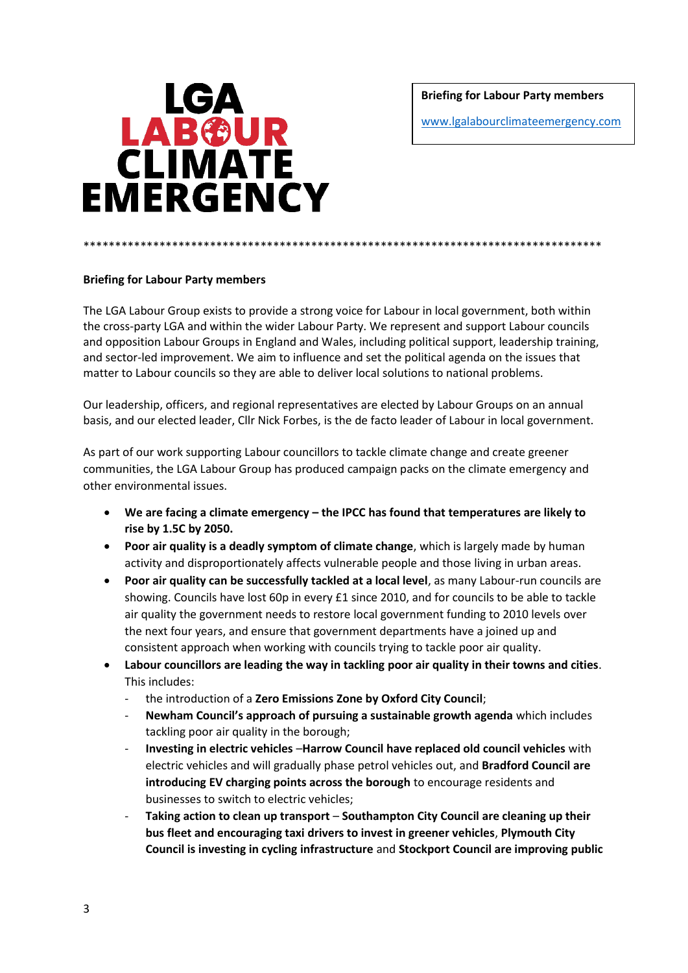

**Briefing for Labour Party members**

[www.lgalabourclimateemergency.com](http://www.lgalabourclimateemergency.com/)

# **Briefing for Labour Party members**

The LGA Labour Group exists to provide a strong voice for Labour in local government, both within the cross-party LGA and within the wider Labour Party. We represent and support Labour councils and opposition Labour Groups in England and Wales, including political support, leadership training, and sector-led improvement. We aim to influence and set the political agenda on the issues that matter to Labour councils so they are able to deliver local solutions to national problems.

\*\*\*\*\*\*\*\*\*\*\*\*\*\*\*\*\*\*\*\*\*\*\*\*\*\*\*\*\*\*\*\*\*\*\*\*\*\*\*\*\*\*\*\*\*\*\*\*\*\*\*\*\*\*\*\*\*\*\*\*\*\*\*\*\*\*\*\*\*\*\*\*\*\*\*\*\*\*\*\*\*\*

Our leadership, officers, and regional representatives are elected by Labour Groups on an annual basis, and our elected leader, Cllr Nick Forbes, is the de facto leader of Labour in local government.

As part of our work supporting Labour councillors to tackle climate change and create greener communities, the LGA Labour Group has produced campaign packs on the climate emergency and other environmental issues.

- **We are facing a climate emergency – the IPCC has found that temperatures are likely to rise by 1.5C by 2050.**
- **Poor air quality is a deadly symptom of climate change**, which is largely made by human activity and disproportionately affects vulnerable people and those living in urban areas.
- **Poor air quality can be successfully tackled at a local level**, as many Labour-run councils are showing. Councils have lost 60p in every £1 since 2010, and for councils to be able to tackle air quality the government needs to restore local government funding to 2010 levels over the next four years, and ensure that government departments have a joined up and consistent approach when working with councils trying to tackle poor air quality.
- **Labour councillors are leading the way in tackling poor air quality in their towns and cities**. This includes:
	- the introduction of a **Zero Emissions Zone by Oxford City Council**;
	- **Newham Council's approach of pursuing a sustainable growth agenda** which includes tackling poor air quality in the borough;
	- **Investing in electric vehicles** –**Harrow Council have replaced old council vehicles** with electric vehicles and will gradually phase petrol vehicles out, and **Bradford Council are introducing EV charging points across the borough** to encourage residents and businesses to switch to electric vehicles;
	- **Taking action to clean up transport Southampton City Council are cleaning up their bus fleet and encouraging taxi drivers to invest in greener vehicles**, **Plymouth City Council is investing in cycling infrastructure** and **Stockport Council are improving public**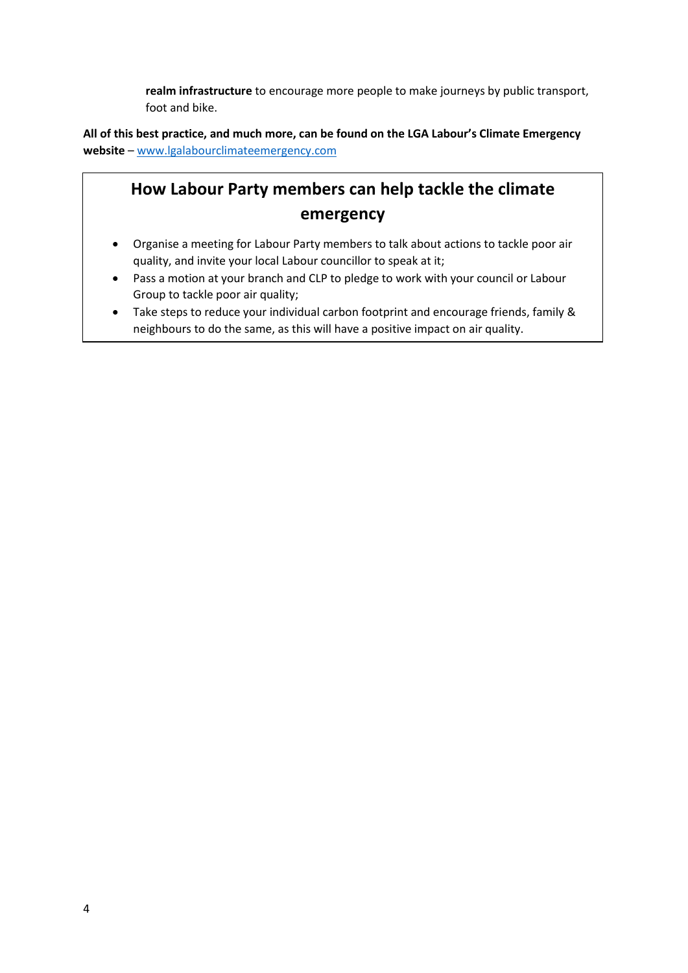**realm infrastructure** to encourage more people to make journeys by public transport, foot and bike.

**All of this best practice, and much more, can be found on the LGA Labour's Climate Emergency website** – [www.lgalabourclimateemergency.com](http://www.lgalabourclimateemergency.com/)

# **How Labour Party members can help tackle the climate emergency**

- Organise a meeting for Labour Party members to talk about actions to tackle poor air quality, and invite your local Labour councillor to speak at it;
- Pass a motion at your branch and CLP to pledge to work with your council or Labour Group to tackle poor air quality;
- Take steps to reduce your individual carbon footprint and encourage friends, family & neighbours to do the same, as this will have a positive impact on air quality.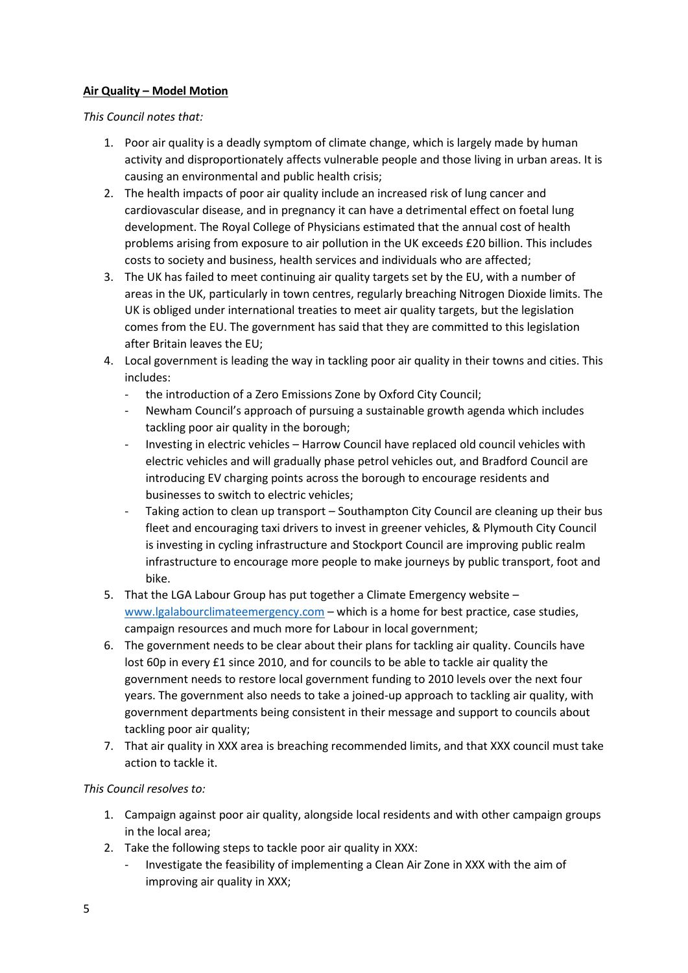# **Air Quality – Model Motion**

*This Council notes that:*

- 1. Poor air quality is a deadly symptom of climate change, which is largely made by human activity and disproportionately affects vulnerable people and those living in urban areas. It is causing an environmental and public health crisis;
- 2. The health impacts of poor air quality include an increased risk of lung cancer and cardiovascular disease, and in pregnancy it can have a detrimental effect on foetal lung development. The Royal College of Physicians estimated that the annual cost of health problems arising from exposure to air pollution in the UK exceeds £20 billion. This includes costs to society and business, health services and individuals who are affected;
- 3. The UK has failed to meet continuing air quality targets set by the EU, with a number of areas in the UK, particularly in town centres, regularly breaching Nitrogen Dioxide limits. The UK is obliged under international treaties to meet air quality targets, but the legislation comes from the EU. The government has said that they are committed to this legislation after Britain leaves the EU;
- 4. Local government is leading the way in tackling poor air quality in their towns and cities. This includes:
	- the introduction of a Zero Emissions Zone by Oxford City Council;
	- Newham Council's approach of pursuing a sustainable growth agenda which includes tackling poor air quality in the borough;
	- Investing in electric vehicles Harrow Council have replaced old council vehicles with electric vehicles and will gradually phase petrol vehicles out, and Bradford Council are introducing EV charging points across the borough to encourage residents and businesses to switch to electric vehicles;
	- Taking action to clean up transport Southampton City Council are cleaning up their bus fleet and encouraging taxi drivers to invest in greener vehicles, & Plymouth City Council is investing in cycling infrastructure and Stockport Council are improving public realm infrastructure to encourage more people to make journeys by public transport, foot and bike.
- 5. That the LGA Labour Group has put together a Climate Emergency website [www.lgalabourclimateemergency.com](http://www.lgalabourclimateemergency.com/) – which is a home for best practice, case studies, campaign resources and much more for Labour in local government;
- 6. The government needs to be clear about their plans for tackling air quality. Councils have lost 60p in every £1 since 2010, and for councils to be able to tackle air quality the government needs to restore local government funding to 2010 levels over the next four years. The government also needs to take a joined-up approach to tackling air quality, with government departments being consistent in their message and support to councils about tackling poor air quality;
- 7. That air quality in XXX area is breaching recommended limits, and that XXX council must take action to tackle it.

# *This Council resolves to:*

- 1. Campaign against poor air quality, alongside local residents and with other campaign groups in the local area;
- 2. Take the following steps to tackle poor air quality in XXX:
	- Investigate the feasibility of implementing a Clean Air Zone in XXX with the aim of improving air quality in XXX;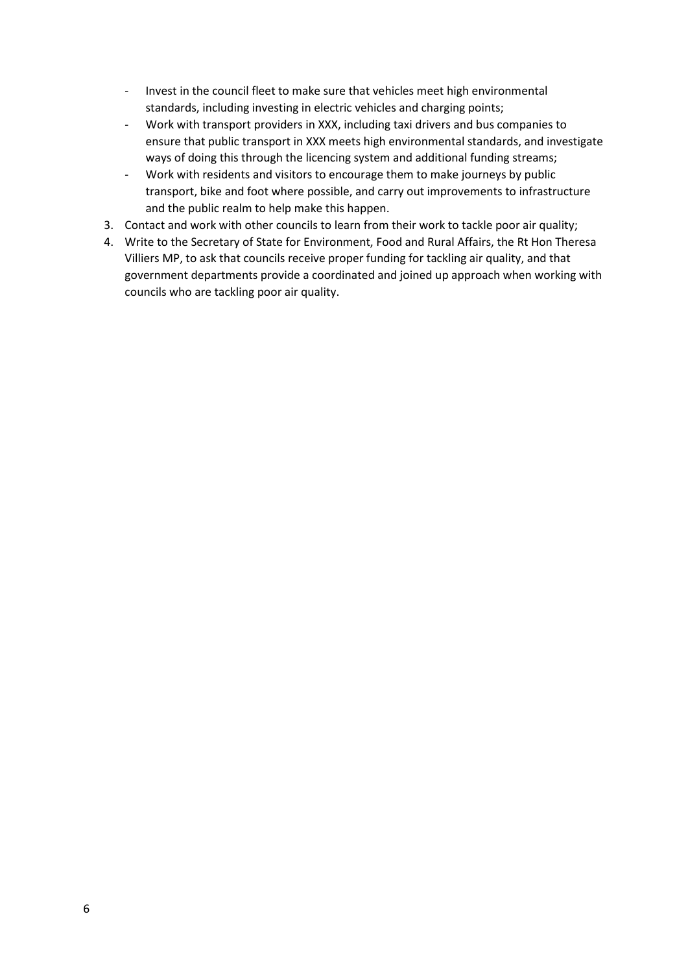- Invest in the council fleet to make sure that vehicles meet high environmental standards, including investing in electric vehicles and charging points;
- Work with transport providers in XXX, including taxi drivers and bus companies to ensure that public transport in XXX meets high environmental standards, and investigate ways of doing this through the licencing system and additional funding streams;
- Work with residents and visitors to encourage them to make journeys by public transport, bike and foot where possible, and carry out improvements to infrastructure and the public realm to help make this happen.
- 3. Contact and work with other councils to learn from their work to tackle poor air quality;
- 4. Write to the Secretary of State for Environment, Food and Rural Affairs, the Rt Hon Theresa Villiers MP, to ask that councils receive proper funding for tackling air quality, and that government departments provide a coordinated and joined up approach when working with councils who are tackling poor air quality.